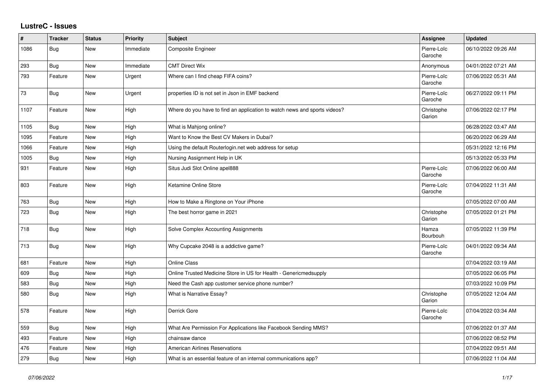## **LustreC - Issues**

| #    | <b>Tracker</b> | <b>Status</b> | <b>Priority</b> | <b>Subject</b>                                                            | Assignee               | <b>Updated</b>      |
|------|----------------|---------------|-----------------|---------------------------------------------------------------------------|------------------------|---------------------|
| 1086 | Bug            | New           | Immediate       | Composite Engineer                                                        | Pierre-Loïc<br>Garoche | 06/10/2022 09:26 AM |
| 293  | Bug            | New           | Immediate       | <b>CMT Direct Wix</b>                                                     | Anonymous              | 04/01/2022 07:21 AM |
| 793  | Feature        | New           | Urgent          | Where can I find cheap FIFA coins?                                        | Pierre-Loïc<br>Garoche | 07/06/2022 05:31 AM |
| 73   | Bug            | New           | Urgent          | properties ID is not set in Json in EMF backend                           | Pierre-Loïc<br>Garoche | 06/27/2022 09:11 PM |
| 1107 | Feature        | New           | High            | Where do you have to find an application to watch news and sports videos? | Christophe<br>Garion   | 07/06/2022 02:17 PM |
| 1105 | Bug            | <b>New</b>    | High            | What is Mahjong online?                                                   |                        | 06/28/2022 03:47 AM |
| 1095 | Feature        | New           | High            | Want to Know the Best CV Makers in Dubai?                                 |                        | 06/20/2022 06:29 AM |
| 1066 | Feature        | New           | High            | Using the default Routerlogin.net web address for setup                   |                        | 05/31/2022 12:16 PM |
| 1005 | Bug            | New           | High            | Nursing Assignment Help in UK                                             |                        | 05/13/2022 05:33 PM |
| 931  | Feature        | New           | High            | Situs Judi Slot Online apel888                                            | Pierre-Loïc<br>Garoche | 07/06/2022 06:00 AM |
| 803  | Feature        | New           | High            | Ketamine Online Store                                                     | Pierre-Loïc<br>Garoche | 07/04/2022 11:31 AM |
| 763  | Bug            | New           | High            | How to Make a Ringtone on Your iPhone                                     |                        | 07/05/2022 07:00 AM |
| 723  | Bug            | New           | High            | The best horror game in 2021                                              | Christophe<br>Garion   | 07/05/2022 01:21 PM |
| 718  | <b>Bug</b>     | <b>New</b>    | High            | Solve Complex Accounting Assignments                                      | Hamza<br>Bourbouh      | 07/05/2022 11:39 PM |
| 713  | Bug            | New           | High            | Why Cupcake 2048 is a addictive game?                                     | Pierre-Loïc<br>Garoche | 04/01/2022 09:34 AM |
| 681  | Feature        | New           | High            | <b>Online Class</b>                                                       |                        | 07/04/2022 03:19 AM |
| 609  | <b>Bug</b>     | New           | High            | Online Trusted Medicine Store in US for Health - Genericmedsupply         |                        | 07/05/2022 06:05 PM |
| 583  | Bug            | New           | High            | Need the Cash app customer service phone number?                          |                        | 07/03/2022 10:09 PM |
| 580  | Bug            | New           | High            | What is Narrative Essay?                                                  | Christophe<br>Garion   | 07/05/2022 12:04 AM |
| 578  | Feature        | New           | High            | Derrick Gore                                                              | Pierre-Loïc<br>Garoche | 07/04/2022 03:34 AM |
| 559  | Bug            | New           | High            | What Are Permission For Applications like Facebook Sending MMS?           |                        | 07/06/2022 01:37 AM |
| 493  | Feature        | <b>New</b>    | High            | chainsaw dance                                                            |                        | 07/06/2022 08:52 PM |
| 476  | Feature        | New           | High            | <b>American Airlines Reservations</b>                                     |                        | 07/04/2022 09:51 AM |
| 279  | Bug            | New           | High            | What is an essential feature of an internal communications app?           |                        | 07/06/2022 11:04 AM |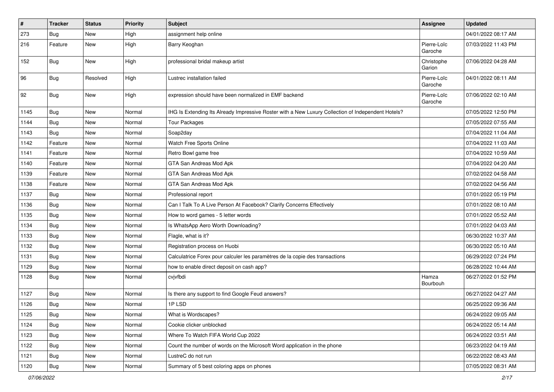| $\pmb{\#}$ | <b>Tracker</b> | <b>Status</b> | <b>Priority</b> | Subject                                                                                            | Assignee               | <b>Updated</b>      |
|------------|----------------|---------------|-----------------|----------------------------------------------------------------------------------------------------|------------------------|---------------------|
| 273        | <b>Bug</b>     | New           | High            | assignment help online                                                                             |                        | 04/01/2022 08:17 AM |
| 216        | Feature        | New           | High            | Barry Keoghan                                                                                      | Pierre-Loïc<br>Garoche | 07/03/2022 11:43 PM |
| 152        | Bug            | New           | High            | professional bridal makeup artist                                                                  | Christophe<br>Garion   | 07/06/2022 04:28 AM |
| 96         | Bug            | Resolved      | High            | Lustrec installation failed                                                                        | Pierre-Loïc<br>Garoche | 04/01/2022 08:11 AM |
| 92         | <b>Bug</b>     | New           | High            | expression should have been normalized in EMF backend                                              | Pierre-Loïc<br>Garoche | 07/06/2022 02:10 AM |
| 1145       | <b>Bug</b>     | New           | Normal          | IHG Is Extending Its Already Impressive Roster with a New Luxury Collection of Independent Hotels? |                        | 07/05/2022 12:50 PM |
| 1144       | Bug            | New           | Normal          | <b>Tour Packages</b>                                                                               |                        | 07/05/2022 07:55 AM |
| 1143       | <b>Bug</b>     | New           | Normal          | Soap2day                                                                                           |                        | 07/04/2022 11:04 AM |
| 1142       | Feature        | New           | Normal          | Watch Free Sports Online                                                                           |                        | 07/04/2022 11:03 AM |
| 1141       | Feature        | New           | Normal          | Retro Bowl game free                                                                               |                        | 07/04/2022 10:59 AM |
| 1140       | Feature        | New           | Normal          | GTA San Andreas Mod Apk                                                                            |                        | 07/04/2022 04:20 AM |
| 1139       | Feature        | New           | Normal          | GTA San Andreas Mod Apk                                                                            |                        | 07/02/2022 04:58 AM |
| 1138       | Feature        | New           | Normal          | GTA San Andreas Mod Apk                                                                            |                        | 07/02/2022 04:56 AM |
| 1137       | Bug            | New           | Normal          | Professional report                                                                                |                        | 07/01/2022 05:19 PM |
| 1136       | <b>Bug</b>     | New           | Normal          | Can I Talk To A Live Person At Facebook? Clarify Concerns Effectively                              |                        | 07/01/2022 08:10 AM |
| 1135       | Bug            | New           | Normal          | How to word games - 5 letter words                                                                 |                        | 07/01/2022 05:52 AM |
| 1134       | <b>Bug</b>     | New           | Normal          | Is WhatsApp Aero Worth Downloading?                                                                |                        | 07/01/2022 04:03 AM |
| 1133       | <b>Bug</b>     | New           | Normal          | Flagle, what is it?                                                                                |                        | 06/30/2022 10:37 AM |
| 1132       | Bug            | New           | Normal          | Registration process on Huobi                                                                      |                        | 06/30/2022 05:10 AM |
| 1131       | Bug            | New           | Normal          | Calculatrice Forex pour calculer les paramètres de la copie des transactions                       |                        | 06/29/2022 07:24 PM |
| 1129       | <b>Bug</b>     | New           | Normal          | how to enable direct deposit on cash app?                                                          |                        | 06/28/2022 10:44 AM |
| 1128       | <b>Bug</b>     | New           | Normal          | cvjvfbdi                                                                                           | Hamza<br>Bourbouh      | 06/27/2022 01:52 PM |
| 1127       | Bug            | New           | Normal          | Is there any support to find Google Feud answers?                                                  |                        | 06/27/2022 04:27 AM |
| 1126       | Bug            | New           | Normal          | 1PLSD                                                                                              |                        | 06/25/2022 09:36 AM |
| 1125       | <b>Bug</b>     | New           | Normal          | What is Wordscapes?                                                                                |                        | 06/24/2022 09:05 AM |
| 1124       | Bug            | New           | Normal          | Cookie clicker unblocked                                                                           |                        | 06/24/2022 05:14 AM |
| 1123       | <b>Bug</b>     | New           | Normal          | Where To Watch FIFA World Cup 2022                                                                 |                        | 06/24/2022 03:51 AM |
| 1122       | <b>Bug</b>     | New           | Normal          | Count the number of words on the Microsoft Word application in the phone                           |                        | 06/23/2022 04:19 AM |
| 1121       | <b>Bug</b>     | New           | Normal          | LustreC do not run                                                                                 |                        | 06/22/2022 08:43 AM |
| 1120       | <b>Bug</b>     | New           | Normal          | Summary of 5 best coloring apps on phones                                                          |                        | 07/05/2022 08:31 AM |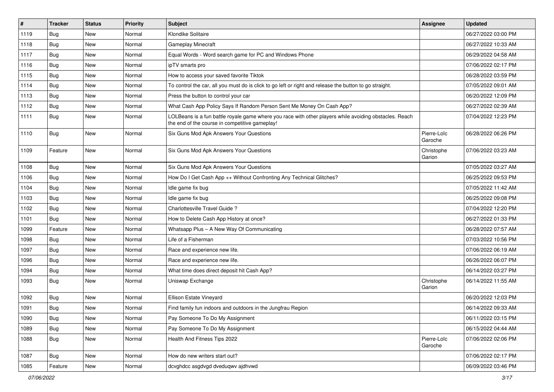| $\sharp$ | <b>Tracker</b> | <b>Status</b> | Priority | Subject                                                                                                                                                  | Assignee               | <b>Updated</b>      |
|----------|----------------|---------------|----------|----------------------------------------------------------------------------------------------------------------------------------------------------------|------------------------|---------------------|
| 1119     | <b>Bug</b>     | New           | Normal   | Klondike Solitaire                                                                                                                                       |                        | 06/27/2022 03:00 PM |
| 1118     | Bug            | <b>New</b>    | Normal   | <b>Gameplay Minecraft</b>                                                                                                                                |                        | 06/27/2022 10:33 AM |
| 1117     | Bug            | New           | Normal   | Equal Words - Word search game for PC and Windows Phone                                                                                                  |                        | 06/29/2022 04:58 AM |
| 1116     | Bug            | New           | Normal   | ipTV smarts pro                                                                                                                                          |                        | 07/06/2022 02:17 PM |
| 1115     | Bug            | New           | Normal   | How to access your saved favorite Tiktok                                                                                                                 |                        | 06/28/2022 03:59 PM |
| 1114     | Bug            | New           | Normal   | To control the car, all you must do is click to go left or right and release the button to go straight.                                                  |                        | 07/05/2022 09:01 AM |
| 1113     | Bug            | New           | Normal   | Press the button to control your car                                                                                                                     |                        | 06/20/2022 12:09 PM |
| 1112     | Bug            | New           | Normal   | What Cash App Policy Says If Random Person Sent Me Money On Cash App?                                                                                    |                        | 06/27/2022 02:39 AM |
| 1111     | Bug            | New           | Normal   | LOLBeans is a fun battle royale game where you race with other players while avoiding obstacles. Reach<br>the end of the course in competitive gameplay! |                        | 07/04/2022 12:23 PM |
| 1110     | Bug            | New           | Normal   | Six Guns Mod Apk Answers Your Questions                                                                                                                  | Pierre-Loïc<br>Garoche | 06/28/2022 06:26 PM |
| 1109     | Feature        | <b>New</b>    | Normal   | Six Guns Mod Apk Answers Your Questions                                                                                                                  | Christophe<br>Garion   | 07/06/2022 03:23 AM |
| 1108     | Bug            | New           | Normal   | Six Guns Mod Apk Answers Your Questions                                                                                                                  |                        | 07/05/2022 03:27 AM |
| 1106     | Bug            | New           | Normal   | How Do I Get Cash App ++ Without Confronting Any Technical Glitches?                                                                                     |                        | 06/25/2022 09:53 PM |
| 1104     | Bug            | New           | Normal   | Idle game fix bug                                                                                                                                        |                        | 07/05/2022 11:42 AM |
| 1103     | Bug            | New           | Normal   | Idle game fix bug                                                                                                                                        |                        | 06/25/2022 09:08 PM |
| 1102     | Bug            | New           | Normal   | Charlottesville Travel Guide ?                                                                                                                           |                        | 07/04/2022 12:20 PM |
| 1101     | <b>Bug</b>     | New           | Normal   | How to Delete Cash App History at once?                                                                                                                  |                        | 06/27/2022 01:33 PM |
| 1099     | Feature        | <b>New</b>    | Normal   | Whatsapp Plus - A New Way Of Communicating                                                                                                               |                        | 06/28/2022 07:57 AM |
| 1098     | Bug            | New           | Normal   | Life of a Fisherman                                                                                                                                      |                        | 07/03/2022 10:56 PM |
| 1097     | Bug            | <b>New</b>    | Normal   | Race and experience new life.                                                                                                                            |                        | 07/06/2022 06:19 AM |
| 1096     | Bug            | New           | Normal   | Race and experience new life.                                                                                                                            |                        | 06/26/2022 06:07 PM |
| 1094     | Bug            | New           | Normal   | What time does direct deposit hit Cash App?                                                                                                              |                        | 06/14/2022 03:27 PM |
| 1093     | Bug            | New           | Normal   | Uniswap Exchange                                                                                                                                         | Christophe<br>Garion   | 06/14/2022 11:55 AM |
| 1092     | Bug            | New           | Normal   | Ellison Estate Vineyard                                                                                                                                  |                        | 06/20/2022 12:03 PM |
| 1091     | Bug            | New           | Normal   | Find family fun indoors and outdoors in the Jungfrau Region                                                                                              |                        | 06/14/2022 09:33 AM |
| 1090     | <b>Bug</b>     | New           | Normal   | Pay Someone To Do My Assignment                                                                                                                          |                        | 06/11/2022 03:15 PM |
| 1089     | Bug            | New           | Normal   | Pay Someone To Do My Assignment                                                                                                                          |                        | 06/15/2022 04:44 AM |
| 1088     | <b>Bug</b>     | New           | Normal   | Health And Fitness Tips 2022                                                                                                                             | Pierre-Loïc<br>Garoche | 07/06/2022 02:06 PM |
| 1087     | <b>Bug</b>     | New           | Normal   | How do new writers start out?                                                                                                                            |                        | 07/06/2022 02:17 PM |
| 1085     | Feature        | New           | Normal   | dcvghdcc asgdvgd dveduqwv ajdhvwd                                                                                                                        |                        | 06/09/2022 03:46 PM |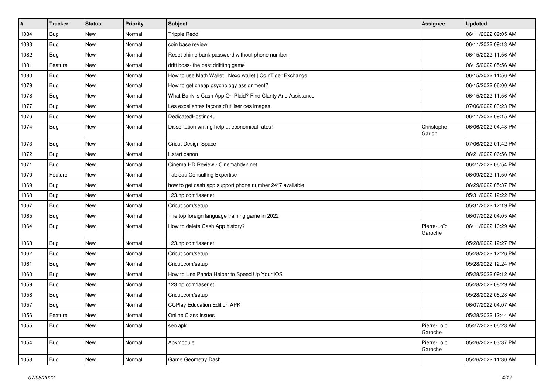| $\#$ | <b>Tracker</b> | <b>Status</b> | <b>Priority</b> | <b>Subject</b>                                              | <b>Assignee</b>        | <b>Updated</b>      |
|------|----------------|---------------|-----------------|-------------------------------------------------------------|------------------------|---------------------|
| 1084 | <b>Bug</b>     | New           | Normal          | <b>Trippie Redd</b>                                         |                        | 06/11/2022 09:05 AM |
| 1083 | Bug            | New           | Normal          | coin base review                                            |                        | 06/11/2022 09:13 AM |
| 1082 | Bug            | New           | Normal          | Reset chime bank password without phone number              |                        | 06/15/2022 11:56 AM |
| 1081 | Feature        | New           | Normal          | drift boss- the best driftitng game                         |                        | 06/15/2022 05:56 AM |
| 1080 | <b>Bug</b>     | New           | Normal          | How to use Math Wallet   Nexo wallet   CoinTiger Exchange   |                        | 06/15/2022 11:56 AM |
| 1079 | <b>Bug</b>     | New           | Normal          | How to get cheap psychology assignment?                     |                        | 06/15/2022 06:00 AM |
| 1078 | Bug            | New           | Normal          | What Bank Is Cash App On Plaid? Find Clarity And Assistance |                        | 06/15/2022 11:56 AM |
| 1077 | <b>Bug</b>     | New           | Normal          | Les excellentes façons d'utiliser ces images                |                        | 07/06/2022 03:23 PM |
| 1076 | Bug            | New           | Normal          | DedicatedHosting4u                                          |                        | 06/11/2022 09:15 AM |
| 1074 | Bug            | New           | Normal          | Dissertation writing help at economical rates!              | Christophe<br>Garion   | 06/06/2022 04:48 PM |
| 1073 | Bug            | New           | Normal          | Cricut Design Space                                         |                        | 07/06/2022 01:42 PM |
| 1072 | <b>Bug</b>     | New           | Normal          | ij.start canon                                              |                        | 06/21/2022 06:56 PM |
| 1071 | Bug            | New           | Normal          | Cinema HD Review - Cinemahdv2.net                           |                        | 06/21/2022 06:54 PM |
| 1070 | Feature        | New           | Normal          | <b>Tableau Consulting Expertise</b>                         |                        | 06/09/2022 11:50 AM |
| 1069 | <b>Bug</b>     | New           | Normal          | how to get cash app support phone number 24*7 available     |                        | 06/29/2022 05:37 PM |
| 1068 | Bug            | New           | Normal          | 123.hp.com/laserjet                                         |                        | 05/31/2022 12:22 PM |
| 1067 | Bug            | New           | Normal          | Cricut.com/setup                                            |                        | 05/31/2022 12:19 PM |
| 1065 | <b>Bug</b>     | New           | Normal          | The top foreign language training game in 2022              |                        | 06/07/2022 04:05 AM |
| 1064 | <b>Bug</b>     | New           | Normal          | How to delete Cash App history?                             | Pierre-Loïc<br>Garoche | 06/11/2022 10:29 AM |
| 1063 | Bug            | <b>New</b>    | Normal          | 123.hp.com/laserjet                                         |                        | 05/28/2022 12:27 PM |
| 1062 | Bug            | New           | Normal          | Cricut.com/setup                                            |                        | 05/28/2022 12:26 PM |
| 1061 | <b>Bug</b>     | New           | Normal          | Cricut.com/setup                                            |                        | 05/28/2022 12:24 PM |
| 1060 | <b>Bug</b>     | New           | Normal          | How to Use Panda Helper to Speed Up Your iOS                |                        | 05/28/2022 09:12 AM |
| 1059 | <b>Bug</b>     | New           | Normal          | 123.hp.com/laserjet                                         |                        | 05/28/2022 08:29 AM |
| 1058 | <b>Bug</b>     | New           | Normal          | Cricut.com/setup                                            |                        | 05/28/2022 08:28 AM |
| 1057 | Bug            | New           | Normal          | <b>CCPlay Education Edition APK</b>                         |                        | 06/07/2022 04:07 AM |
| 1056 | Feature        | <b>New</b>    | Normal          | Online Class Issues                                         |                        | 05/28/2022 12:44 AM |
| 1055 | Bug            | New           | Normal          | seo apk                                                     | Pierre-Loïc<br>Garoche | 05/27/2022 06:23 AM |
| 1054 | <b>Bug</b>     | New           | Normal          | Apkmodule                                                   | Pierre-Loïc<br>Garoche | 05/26/2022 03:37 PM |
| 1053 | Bug            | New           | Normal          | Game Geometry Dash                                          |                        | 05/26/2022 11:30 AM |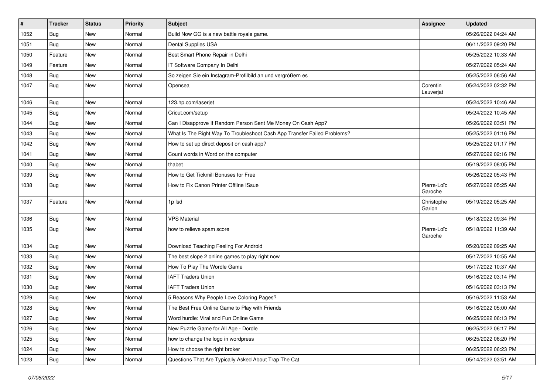| #    | <b>Tracker</b> | <b>Status</b> | <b>Priority</b> | Subject                                                                  | Assignee               | <b>Updated</b>      |
|------|----------------|---------------|-----------------|--------------------------------------------------------------------------|------------------------|---------------------|
| 1052 | <b>Bug</b>     | New           | Normal          | Build Now GG is a new battle royale game.                                |                        | 05/26/2022 04:24 AM |
| 1051 | Bug            | New           | Normal          | Dental Supplies USA                                                      |                        | 06/11/2022 09:20 PM |
| 1050 | Feature        | New           | Normal          | Best Smart Phone Repair in Delhi                                         |                        | 05/25/2022 10:33 AM |
| 1049 | Feature        | New           | Normal          | IT Software Company In Delhi                                             |                        | 05/27/2022 05:24 AM |
| 1048 | Bug            | New           | Normal          | So zeigen Sie ein Instagram-Profilbild an und vergrößern es              |                        | 05/25/2022 06:56 AM |
| 1047 | Bug            | New           | Normal          | Opensea                                                                  | Corentin<br>Lauverjat  | 05/24/2022 02:32 PM |
| 1046 | Bug            | New           | Normal          | 123.hp.com/laserjet                                                      |                        | 05/24/2022 10:46 AM |
| 1045 | <b>Bug</b>     | New           | Normal          | Cricut.com/setup                                                         |                        | 05/24/2022 10:45 AM |
| 1044 | Bug            | New           | Normal          | Can I Disapprove If Random Person Sent Me Money On Cash App?             |                        | 05/26/2022 03:51 PM |
| 1043 | <b>Bug</b>     | New           | Normal          | What Is The Right Way To Troubleshoot Cash App Transfer Failed Problems? |                        | 05/25/2022 01:16 PM |
| 1042 | Bug            | New           | Normal          | How to set up direct deposit on cash app?                                |                        | 05/25/2022 01:17 PM |
| 1041 | Bug            | New           | Normal          | Count words in Word on the computer                                      |                        | 05/27/2022 02:16 PM |
| 1040 | Bug            | New           | Normal          | thabet                                                                   |                        | 05/19/2022 08:05 PM |
| 1039 | Bug            | New           | Normal          | How to Get Tickmill Bonuses for Free                                     |                        | 05/26/2022 05:43 PM |
| 1038 | Bug            | New           | Normal          | How to Fix Canon Printer Offline ISsue                                   | Pierre-Loïc<br>Garoche | 05/27/2022 05:25 AM |
| 1037 | Feature        | <b>New</b>    | Normal          | 1p lsd                                                                   | Christophe<br>Garion   | 05/19/2022 05:25 AM |
| 1036 | Bug            | New           | Normal          | <b>VPS Material</b>                                                      |                        | 05/18/2022 09:34 PM |
| 1035 | <b>Bug</b>     | New           | Normal          | how to relieve spam score                                                | Pierre-Loïc<br>Garoche | 05/18/2022 11:39 AM |
| 1034 | Bug            | <b>New</b>    | Normal          | Download Teaching Feeling For Android                                    |                        | 05/20/2022 09:25 AM |
| 1033 | <b>Bug</b>     | New           | Normal          | The best slope 2 online games to play right now                          |                        | 05/17/2022 10:55 AM |
| 1032 | <b>Bug</b>     | New           | Normal          | How To Play The Wordle Game                                              |                        | 05/17/2022 10:37 AM |
| 1031 | Bug            | New           | Normal          | <b>IAFT Traders Union</b>                                                |                        | 05/16/2022 03:14 PM |
| 1030 | <b>Bug</b>     | New           | Normal          | <b>IAFT Traders Union</b>                                                |                        | 05/16/2022 03:13 PM |
| 1029 | <b>Bug</b>     | New           | Normal          | 5 Reasons Why People Love Coloring Pages?                                |                        | 05/16/2022 11:53 AM |
| 1028 | <b>Bug</b>     | New           | Normal          | The Best Free Online Game to Play with Friends                           |                        | 05/16/2022 05:00 AM |
| 1027 | <b>Bug</b>     | New           | Normal          | Word hurdle: Viral and Fun Online Game                                   |                        | 06/25/2022 06:13 PM |
| 1026 | <b>Bug</b>     | New           | Normal          | New Puzzle Game for All Age - Dordle                                     |                        | 06/25/2022 06:17 PM |
| 1025 | Bug            | New           | Normal          | how to change the logo in wordpress                                      |                        | 06/25/2022 06:20 PM |
| 1024 | Bug            | New           | Normal          | How to choose the right broker                                           |                        | 06/25/2022 06:23 PM |
| 1023 | <b>Bug</b>     | New           | Normal          | Questions That Are Typically Asked About Trap The Cat                    |                        | 05/14/2022 03:51 AM |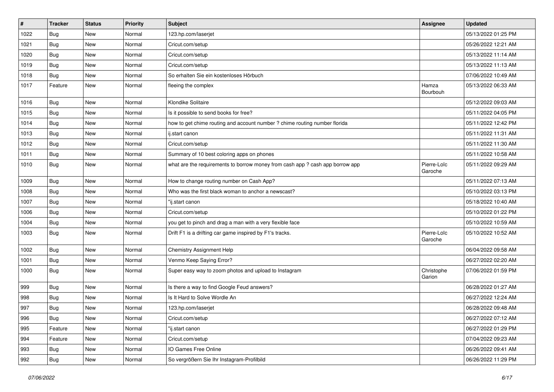| #    | <b>Tracker</b> | <b>Status</b> | <b>Priority</b> | Subject                                                                       | Assignee               | <b>Updated</b>      |
|------|----------------|---------------|-----------------|-------------------------------------------------------------------------------|------------------------|---------------------|
| 1022 | <b>Bug</b>     | New           | Normal          | 123.hp.com/laserjet                                                           |                        | 05/13/2022 01:25 PM |
| 1021 | <b>Bug</b>     | New           | Normal          | Cricut.com/setup                                                              |                        | 05/26/2022 12:21 AM |
| 1020 | <b>Bug</b>     | New           | Normal          | Cricut.com/setup                                                              |                        | 05/13/2022 11:14 AM |
| 1019 | Bug            | New           | Normal          | Cricut.com/setup                                                              |                        | 05/13/2022 11:13 AM |
| 1018 | <b>Bug</b>     | New           | Normal          | So erhalten Sie ein kostenloses Hörbuch                                       |                        | 07/06/2022 10:49 AM |
| 1017 | Feature        | New           | Normal          | fleeing the complex                                                           | Hamza<br>Bourbouh      | 05/13/2022 06:33 AM |
| 1016 | Bug            | New           | Normal          | Klondike Solitaire                                                            |                        | 05/12/2022 09:03 AM |
| 1015 | Bug            | New           | Normal          | Is it possible to send books for free?                                        |                        | 05/11/2022 04:05 PM |
| 1014 | <b>Bug</b>     | New           | Normal          | how to get chime routing and account number ? chime routing number florida    |                        | 05/11/2022 12:42 PM |
| 1013 | <b>Bug</b>     | New           | Normal          | ij.start canon                                                                |                        | 05/11/2022 11:31 AM |
| 1012 | Bug            | New           | Normal          | Cricut.com/setup                                                              |                        | 05/11/2022 11:30 AM |
| 1011 | Bug            | New           | Normal          | Summary of 10 best coloring apps on phones                                    |                        | 05/11/2022 10:58 AM |
| 1010 | Bug            | New           | Normal          | what are the requirements to borrow money from cash app ? cash app borrow app | Pierre-Loïc<br>Garoche | 05/11/2022 09:29 AM |
| 1009 | Bug            | New           | Normal          | How to change routing number on Cash App?                                     |                        | 05/11/2022 07:13 AM |
| 1008 | <b>Bug</b>     | New           | Normal          | Who was the first black woman to anchor a newscast?                           |                        | 05/10/2022 03:13 PM |
| 1007 | Bug            | New           | Normal          | "ij.start canon                                                               |                        | 05/18/2022 10:40 AM |
| 1006 | Bug            | New           | Normal          | Cricut.com/setup                                                              |                        | 05/10/2022 01:22 PM |
| 1004 | Bug            | New           | Normal          | you get to pinch and drag a man with a very flexible face                     |                        | 05/10/2022 10:59 AM |
| 1003 | <b>Bug</b>     | New           | Normal          | Drift F1 is a drifting car game inspired by F1's tracks.                      | Pierre-Loïc<br>Garoche | 05/10/2022 10:52 AM |
| 1002 | Bug            | New           | Normal          | <b>Chemistry Assignment Help</b>                                              |                        | 06/04/2022 09:58 AM |
| 1001 | <b>Bug</b>     | New           | Normal          | Venmo Keep Saying Error?                                                      |                        | 06/27/2022 02:20 AM |
| 1000 | <b>Bug</b>     | New           | Normal          | Super easy way to zoom photos and upload to Instagram                         | Christophe<br>Garion   | 07/06/2022 01:59 PM |
| 999  | <b>Bug</b>     | New           | Normal          | Is there a way to find Google Feud answers?                                   |                        | 06/28/2022 01:27 AM |
| 998  | Bug            | New           | Normal          | Is It Hard to Solve Wordle An                                                 |                        | 06/27/2022 12:24 AM |
| 997  | <b>Bug</b>     | New           | Normal          | 123.hp.com/laserjet                                                           |                        | 06/28/2022 09:48 AM |
| 996  | <b>Bug</b>     | New           | Normal          | Cricut.com/setup                                                              |                        | 06/27/2022 07:12 AM |
| 995  | Feature        | New           | Normal          | "ij.start canon                                                               |                        | 06/27/2022 01:29 PM |
| 994  | Feature        | New           | Normal          | Cricut.com/setup                                                              |                        | 07/04/2022 09:23 AM |
| 993  | Bug            | New           | Normal          | IO Games Free Online                                                          |                        | 06/26/2022 09:41 AM |
| 992  | <b>Bug</b>     | New           | Normal          | So vergrößern Sie Ihr Instagram-Profilbild                                    |                        | 06/26/2022 11:29 PM |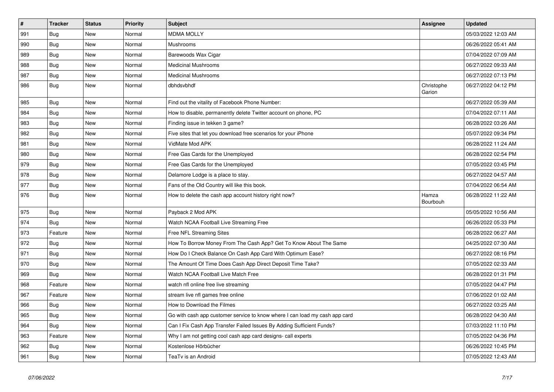| $\vert$ # | <b>Tracker</b> | <b>Status</b> | <b>Priority</b> | <b>Subject</b>                                                              | Assignee             | <b>Updated</b>      |
|-----------|----------------|---------------|-----------------|-----------------------------------------------------------------------------|----------------------|---------------------|
| 991       | Bug            | New           | Normal          | <b>MDMA MOLLY</b>                                                           |                      | 05/03/2022 12:03 AM |
| 990       | <b>Bug</b>     | New           | Normal          | Mushrooms                                                                   |                      | 06/26/2022 05:41 AM |
| 989       | Bug            | New           | Normal          | Barewoods Wax Cigar                                                         |                      | 07/04/2022 07:09 AM |
| 988       | <b>Bug</b>     | New           | Normal          | <b>Medicinal Mushrooms</b>                                                  |                      | 06/27/2022 09:33 AM |
| 987       | <b>Bug</b>     | New           | Normal          | <b>Medicinal Mushrooms</b>                                                  |                      | 06/27/2022 07:13 PM |
| 986       | <b>Bug</b>     | New           | Normal          | dbhdsvbhdf                                                                  | Christophe<br>Garion | 06/27/2022 04:12 PM |
| 985       | <b>Bug</b>     | New           | Normal          | Find out the vitality of Facebook Phone Number:                             |                      | 06/27/2022 05:39 AM |
| 984       | <b>Bug</b>     | New           | Normal          | How to disable, permanently delete Twitter account on phone, PC             |                      | 07/04/2022 07:11 AM |
| 983       | Bug            | New           | Normal          | Finding issue in tekken 3 game?                                             |                      | 06/28/2022 03:26 AM |
| 982       | Bug            | New           | Normal          | Five sites that let you download free scenarios for your iPhone             |                      | 05/07/2022 09:34 PM |
| 981       | Bug            | New           | Normal          | VidMate Mod APK                                                             |                      | 06/28/2022 11:24 AM |
| 980       | <b>Bug</b>     | New           | Normal          | Free Gas Cards for the Unemployed                                           |                      | 06/28/2022 02:54 PM |
| 979       | <b>Bug</b>     | New           | Normal          | Free Gas Cards for the Unemployed                                           |                      | 07/05/2022 03:45 PM |
| 978       | <b>Bug</b>     | New           | Normal          | Delamore Lodge is a place to stay.                                          |                      | 06/27/2022 04:57 AM |
| 977       | <b>Bug</b>     | New           | Normal          | Fans of the Old Country will like this book.                                |                      | 07/04/2022 06:54 AM |
| 976       | Bug            | New           | Normal          | How to delete the cash app account history right now?                       | Hamza<br>Bourbouh    | 06/28/2022 11:22 AM |
| 975       | <b>Bug</b>     | New           | Normal          | Payback 2 Mod APK                                                           |                      | 05/05/2022 10:56 AM |
| 974       | <b>Bug</b>     | <b>New</b>    | Normal          | Watch NCAA Football Live Streaming Free                                     |                      | 06/26/2022 05:33 PM |
| 973       | Feature        | New           | Normal          | Free NFL Streaming Sites                                                    |                      | 06/28/2022 06:27 AM |
| 972       | <b>Bug</b>     | New           | Normal          | How To Borrow Money From The Cash App? Get To Know About The Same           |                      | 04/25/2022 07:30 AM |
| 971       | Bug            | New           | Normal          | How Do I Check Balance On Cash App Card With Optimum Ease?                  |                      | 06/27/2022 08:16 PM |
| 970       | <b>Bug</b>     | New           | Normal          | The Amount Of Time Does Cash App Direct Deposit Time Take?                  |                      | 07/05/2022 02:33 AM |
| 969       | <b>Bug</b>     | <b>New</b>    | Normal          | Watch NCAA Football Live Match Free                                         |                      | 06/28/2022 01:31 PM |
| 968       | Feature        | <b>New</b>    | Normal          | watch nfl online free live streaming                                        |                      | 07/05/2022 04:47 PM |
| 967       | Feature        | New           | Normal          | stream live nfl games free online                                           |                      | 07/06/2022 01:02 AM |
| 966       | <b>Bug</b>     | New           | Normal          | How to Download the Filmes                                                  |                      | 06/27/2022 03:25 AM |
| 965       | <b>Bug</b>     | New           | Normal          | Go with cash app customer service to know where I can load my cash app card |                      | 06/28/2022 04:30 AM |
| 964       | Bug            | New           | Normal          | Can I Fix Cash App Transfer Failed Issues By Adding Sufficient Funds?       |                      | 07/03/2022 11:10 PM |
| 963       | Feature        | New           | Normal          | Why I am not getting cool cash app card designs- call experts               |                      | 07/05/2022 04:36 PM |
| 962       | Bug            | New           | Normal          | Kostenlose Hörbücher                                                        |                      | 06/26/2022 10:45 PM |
| 961       | Bug            | New           | Normal          | TeaTv is an Android                                                         |                      | 07/05/2022 12:43 AM |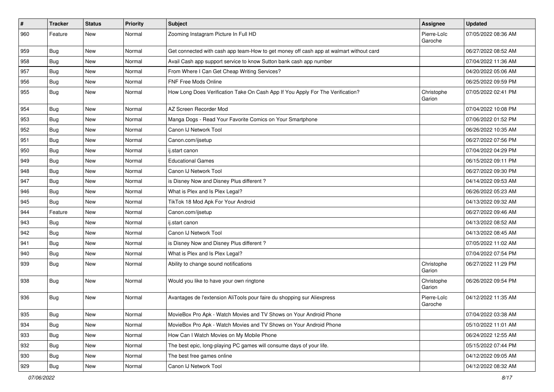| $\sharp$ | <b>Tracker</b> | <b>Status</b> | <b>Priority</b> | Subject                                                                                | Assignee               | <b>Updated</b>      |
|----------|----------------|---------------|-----------------|----------------------------------------------------------------------------------------|------------------------|---------------------|
| 960      | Feature        | New           | Normal          | Zooming Instagram Picture In Full HD                                                   | Pierre-Loïc<br>Garoche | 07/05/2022 08:36 AM |
| 959      | <b>Bug</b>     | New           | Normal          | Get connected with cash app team-How to get money off cash app at walmart without card |                        | 06/27/2022 08:52 AM |
| 958      | <b>Bug</b>     | New           | Normal          | Avail Cash app support service to know Sutton bank cash app number                     |                        | 07/04/2022 11:36 AM |
| 957      | Bug            | New           | Normal          | From Where I Can Get Cheap Writing Services?                                           |                        | 04/20/2022 05:06 AM |
| 956      | <b>Bug</b>     | New           | Normal          | <b>FNF Free Mods Online</b>                                                            |                        | 06/25/2022 09:59 PM |
| 955      | Bug            | New           | Normal          | How Long Does Verification Take On Cash App If You Apply For The Verification?         | Christophe<br>Garion   | 07/05/2022 02:41 PM |
| 954      | Bug            | <b>New</b>    | Normal          | AZ Screen Recorder Mod                                                                 |                        | 07/04/2022 10:08 PM |
| 953      | Bug            | <b>New</b>    | Normal          | Manga Dogs - Read Your Favorite Comics on Your Smartphone                              |                        | 07/06/2022 01:52 PM |
| 952      | <b>Bug</b>     | New           | Normal          | Canon IJ Network Tool                                                                  |                        | 06/26/2022 10:35 AM |
| 951      | Bug            | New           | Normal          | Canon.com/ijsetup                                                                      |                        | 06/27/2022 07:56 PM |
| 950      | Bug            | <b>New</b>    | Normal          | ij.start canon                                                                         |                        | 07/04/2022 04:29 PM |
| 949      | <b>Bug</b>     | New           | Normal          | <b>Educational Games</b>                                                               |                        | 06/15/2022 09:11 PM |
| 948      | Bug            | New           | Normal          | Canon IJ Network Tool                                                                  |                        | 06/27/2022 09:30 PM |
| 947      | Bug            | New           | Normal          | is Disney Now and Disney Plus different?                                               |                        | 04/14/2022 09:53 AM |
| 946      | <b>Bug</b>     | New           | Normal          | What is Plex and Is Plex Legal?                                                        |                        | 06/26/2022 05:23 AM |
| 945      | Bug            | New           | Normal          | TikTok 18 Mod Apk For Your Android                                                     |                        | 04/13/2022 09:32 AM |
| 944      | Feature        | New           | Normal          | Canon.com/ijsetup                                                                      |                        | 06/27/2022 09:46 AM |
| 943      | Bug            | New           | Normal          | ij.start canon                                                                         |                        | 04/13/2022 08:52 AM |
| 942      | <b>Bug</b>     | New           | Normal          | Canon IJ Network Tool                                                                  |                        | 04/13/2022 08:45 AM |
| 941      | Bug            | New           | Normal          | is Disney Now and Disney Plus different?                                               |                        | 07/05/2022 11:02 AM |
| 940      | Bug            | New           | Normal          | What is Plex and Is Plex Legal?                                                        |                        | 07/04/2022 07:54 PM |
| 939      | Bug            | New           | Normal          | Ability to change sound notifications                                                  | Christophe<br>Garion   | 06/27/2022 11:29 PM |
| 938      | <b>Bug</b>     | <b>New</b>    | Normal          | Would you like to have your own ringtone                                               | Christophe<br>Garion   | 06/26/2022 09:54 PM |
| 936      | Bug            | New           | Normal          | Avantages de l'extension AliTools pour faire du shopping sur Aliexpress                | Pierre-Loïc<br>Garoche | 04/12/2022 11:35 AM |
| 935      | <b>Bug</b>     | New           | Normal          | MovieBox Pro Apk - Watch Movies and TV Shows on Your Android Phone                     |                        | 07/04/2022 03:38 AM |
| 934      | Bug            | New           | Normal          | MovieBox Pro Apk - Watch Movies and TV Shows on Your Android Phone                     |                        | 05/10/2022 11:01 AM |
| 933      | <b>Bug</b>     | New           | Normal          | How Can I Watch Movies on My Mobile Phone                                              |                        | 06/24/2022 12:55 AM |
| 932      | Bug            | New           | Normal          | The best epic, long-playing PC games will consume days of your life.                   |                        | 05/15/2022 07:44 PM |
| 930      | <b>Bug</b>     | New           | Normal          | The best free games online                                                             |                        | 04/12/2022 09:05 AM |
| 929      | Bug            | New           | Normal          | Canon IJ Network Tool                                                                  |                        | 04/12/2022 08:32 AM |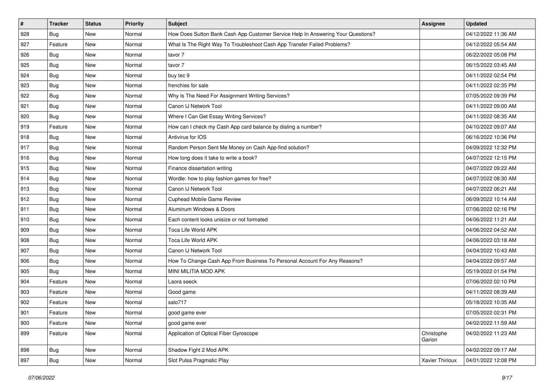| $\vert$ # | <b>Tracker</b> | <b>Status</b> | <b>Priority</b> | Subject                                                                          | <b>Assignee</b>      | <b>Updated</b>      |
|-----------|----------------|---------------|-----------------|----------------------------------------------------------------------------------|----------------------|---------------------|
| 928       | <b>Bug</b>     | New           | Normal          | How Does Sutton Bank Cash App Customer Service Help In Answering Your Questions? |                      | 04/12/2022 11:36 AM |
| 927       | Feature        | New           | Normal          | What Is The Right Way To Troubleshoot Cash App Transfer Failed Problems?         |                      | 04/12/2022 05:54 AM |
| 926       | Bug            | New           | Normal          | tavor 7                                                                          |                      | 06/22/2022 05:08 PM |
| 925       | Bug            | New           | Normal          | tavor 7                                                                          |                      | 06/15/2022 03:45 AM |
| 924       | <b>Bug</b>     | New           | Normal          | buy tec 9                                                                        |                      | 04/11/2022 02:54 PM |
| 923       | Bug            | New           | Normal          | frenchies for sale                                                               |                      | 04/11/2022 02:35 PM |
| 922       | Bug            | New           | Normal          | Why Is The Need For Assignment Writing Services?                                 |                      | 07/05/2022 09:39 PM |
| 921       | Bug            | New           | Normal          | Canon IJ Network Tool                                                            |                      | 04/11/2022 09:00 AM |
| 920       | Bug            | New           | Normal          | Where I Can Get Essay Writing Services?                                          |                      | 04/11/2022 08:35 AM |
| 919       | Feature        | New           | Normal          | How can I check my Cash App card balance by dialing a number?                    |                      | 04/10/2022 09:07 AM |
| 918       | <b>Bug</b>     | New           | Normal          | Antivirus for IOS                                                                |                      | 06/16/2022 10:36 PM |
| 917       | Bug            | <b>New</b>    | Normal          | Random Person Sent Me Money on Cash App-find solution?                           |                      | 04/09/2022 12:32 PM |
| 916       | Bug            | New           | Normal          | How long does it take to write a book?                                           |                      | 04/07/2022 12:15 PM |
| 915       | <b>Bug</b>     | New           | Normal          | Finance dissertation writing                                                     |                      | 04/07/2022 09:22 AM |
| 914       | Bug            | New           | Normal          | Wordle: how to play fashion games for free?                                      |                      | 04/07/2022 08:30 AM |
| 913       | Bug            | New           | Normal          | Canon IJ Network Tool                                                            |                      | 04/07/2022 06:21 AM |
| 912       | Bug            | New           | Normal          | Cuphead Mobile Game Review                                                       |                      | 06/09/2022 10:14 AM |
| 911       | Bug            | New           | Normal          | Aluminum Windows & Doors                                                         |                      | 07/06/2022 02:16 PM |
| 910       | <b>Bug</b>     | New           | Normal          | Each content looks unisize or not formated                                       |                      | 04/06/2022 11:21 AM |
| 909       | Bug            | New           | Normal          | Toca Life World APK                                                              |                      | 04/06/2022 04:52 AM |
| 908       | Bug            | New           | Normal          | Toca Life World APK                                                              |                      | 04/06/2022 03:18 AM |
| 907       | Bug            | New           | Normal          | Canon IJ Network Tool                                                            |                      | 04/04/2022 10:43 AM |
| 906       | <b>Bug</b>     | New           | Normal          | How To Change Cash App From Business To Personal Account For Any Reasons?        |                      | 04/04/2022 09:57 AM |
| 905       | <b>Bug</b>     | New           | Normal          | MINI MILITIA MOD APK                                                             |                      | 05/19/2022 01:54 PM |
| 904       | Feature        | New           | Normal          | Laora seeck                                                                      |                      | 07/06/2022 02:10 PM |
| 903       | Feature        | New           | Normal          | Good game                                                                        |                      | 04/11/2022 08:39 AM |
| 902       | Feature        | New           | Normal          | salo717                                                                          |                      | 05/18/2022 10:35 AM |
| 901       | Feature        | New           | Normal          | good game ever                                                                   |                      | 07/05/2022 02:31 PM |
| 900       | Feature        | New           | Normal          | good game ever                                                                   |                      | 04/02/2022 11:59 AM |
| 899       | Feature        | New           | Normal          | Application of Optical Fiber Gyroscope                                           | Christophe<br>Garion | 04/02/2022 11:23 AM |
| 898       | Bug            | New           | Normal          | Shadow Fight 2 Mod APK                                                           |                      | 04/02/2022 09:17 AM |
| 897       | <b>Bug</b>     | New           | Normal          | Slot Pulsa Pragmatic Play                                                        | Xavier Thirioux      | 04/01/2022 12:08 PM |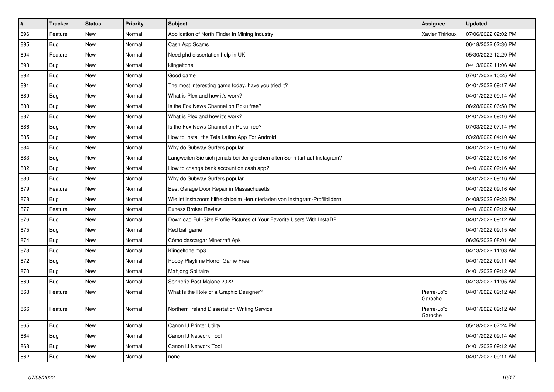| $\vert$ # | <b>Tracker</b> | <b>Status</b> | Priority | <b>Subject</b>                                                              | <b>Assignee</b>        | <b>Updated</b>      |
|-----------|----------------|---------------|----------|-----------------------------------------------------------------------------|------------------------|---------------------|
| 896       | Feature        | <b>New</b>    | Normal   | Application of North Finder in Mining Industry                              | <b>Xavier Thirioux</b> | 07/06/2022 02:02 PM |
| 895       | <b>Bug</b>     | New           | Normal   | Cash App Scams                                                              |                        | 06/18/2022 02:36 PM |
| 894       | Feature        | New           | Normal   | Need phd dissertation help in UK                                            |                        | 05/30/2022 12:29 PM |
| 893       | <b>Bug</b>     | New           | Normal   | klingeltone                                                                 |                        | 04/13/2022 11:06 AM |
| 892       | Bug            | New           | Normal   | Good game                                                                   |                        | 07/01/2022 10:25 AM |
| 891       | <b>Bug</b>     | <b>New</b>    | Normal   | The most interesting game today, have you tried it?                         |                        | 04/01/2022 09:17 AM |
| 889       | Bug            | <b>New</b>    | Normal   | What is Plex and how it's work?                                             |                        | 04/01/2022 09:14 AM |
| 888       | <b>Bug</b>     | New           | Normal   | Is the Fox News Channel on Roku free?                                       |                        | 06/28/2022 06:58 PM |
| 887       | Bug            | New           | Normal   | What is Plex and how it's work?                                             |                        | 04/01/2022 09:16 AM |
| 886       | Bug            | <b>New</b>    | Normal   | Is the Fox News Channel on Roku free?                                       |                        | 07/03/2022 07:14 PM |
| 885       | Bug            | New           | Normal   | How to Install the Tele Latino App For Android                              |                        | 03/28/2022 04:10 AM |
| 884       | <b>Bug</b>     | New           | Normal   | Why do Subway Surfers popular                                               |                        | 04/01/2022 09:16 AM |
| 883       | <b>Bug</b>     | New           | Normal   | Langweilen Sie sich jemals bei der gleichen alten Schriftart auf Instagram? |                        | 04/01/2022 09:16 AM |
| 882       | Bug            | New           | Normal   | How to change bank account on cash app?                                     |                        | 04/01/2022 09:16 AM |
| 880       | Bug            | New           | Normal   | Why do Subway Surfers popular                                               |                        | 04/01/2022 09:16 AM |
| 879       | Feature        | New           | Normal   | Best Garage Door Repair in Massachusetts                                    |                        | 04/01/2022 09:16 AM |
| 878       | Bug            | New           | Normal   | Wie ist instazoom hilfreich beim Herunterladen von Instagram-Profilbildern  |                        | 04/08/2022 09:28 PM |
| 877       | Feature        | New           | Normal   | <b>Exness Broker Review</b>                                                 |                        | 04/01/2022 09:12 AM |
| 876       | Bug            | New           | Normal   | Download Full-Size Profile Pictures of Your Favorite Users With InstaDP     |                        | 04/01/2022 09:12 AM |
| 875       | Bug            | New           | Normal   | Red ball game                                                               |                        | 04/01/2022 09:15 AM |
| 874       | Bug            | New           | Normal   | Cómo descargar Minecraft Apk                                                |                        | 06/26/2022 08:01 AM |
| 873       | Bug            | <b>New</b>    | Normal   | Klingeltöne mp3                                                             |                        | 04/13/2022 11:03 AM |
| 872       | Bug            | New           | Normal   | Poppy Playtime Horror Game Free                                             |                        | 04/01/2022 09:11 AM |
| 870       | Bug            | New           | Normal   | <b>Mahjong Solitaire</b>                                                    |                        | 04/01/2022 09:12 AM |
| 869       | <b>Bug</b>     | New           | Normal   | Sonnerie Post Malone 2022                                                   |                        | 04/13/2022 11:05 AM |
| 868       | Feature        | New           | Normal   | What Is the Role of a Graphic Designer?                                     | Pierre-Loïc<br>Garoche | 04/01/2022 09:12 AM |
| 866       | Feature        | <b>New</b>    | Normal   | Northern Ireland Dissertation Writing Service                               | Pierre-Loïc<br>Garoche | 04/01/2022 09:12 AM |
| 865       | Bug            | <b>New</b>    | Normal   | Canon IJ Printer Utility                                                    |                        | 05/18/2022 07:24 PM |
| 864       | <b>Bug</b>     | New           | Normal   | Canon IJ Network Tool                                                       |                        | 04/01/2022 09:14 AM |
| 863       | <b>Bug</b>     | New           | Normal   | Canon IJ Network Tool                                                       |                        | 04/01/2022 09:12 AM |
| 862       | Bug            | <b>New</b>    | Normal   | none                                                                        |                        | 04/01/2022 09:11 AM |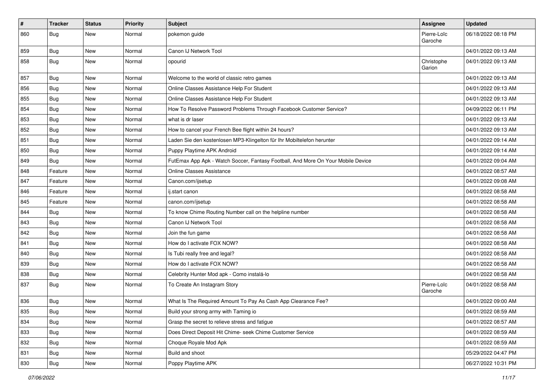| $\pmb{\#}$ | <b>Tracker</b>   | <b>Status</b> | <b>Priority</b> | <b>Subject</b>                                                                   | Assignee               | <b>Updated</b>      |
|------------|------------------|---------------|-----------------|----------------------------------------------------------------------------------|------------------------|---------------------|
| 860        | <b>Bug</b>       | New           | Normal          | pokemon guide                                                                    | Pierre-Loïc<br>Garoche | 06/18/2022 08:18 PM |
| 859        | <b>Bug</b>       | New           | Normal          | Canon IJ Network Tool                                                            |                        | 04/01/2022 09:13 AM |
| 858        | <b>Bug</b>       | New           | Normal          | opourid                                                                          | Christophe<br>Garion   | 04/01/2022 09:13 AM |
| 857        | Bug              | New           | Normal          | Welcome to the world of classic retro games                                      |                        | 04/01/2022 09:13 AM |
| 856        | Bug              | New           | Normal          | Online Classes Assistance Help For Student                                       |                        | 04/01/2022 09:13 AM |
| 855        | <b>Bug</b>       | New           | Normal          | Online Classes Assistance Help For Student                                       |                        | 04/01/2022 09:13 AM |
| 854        | Bug              | New           | Normal          | How To Resolve Password Problems Through Facebook Customer Service?              |                        | 04/09/2022 06:11 PM |
| 853        | <b>Bug</b>       | New           | Normal          | what is dr laser                                                                 |                        | 04/01/2022 09:13 AM |
| 852        | <b>Bug</b>       | New           | Normal          | How to cancel your French Bee flight within 24 hours?                            |                        | 04/01/2022 09:13 AM |
| 851        | Bug              | New           | Normal          | Laden Sie den kostenlosen MP3-Klingelton für Ihr Mobiltelefon herunter           |                        | 04/01/2022 09:14 AM |
| 850        | Bug              | New           | Normal          | Puppy Playtime APK Android                                                       |                        | 04/01/2022 09:14 AM |
| 849        | Bug              | New           | Normal          | FutEmax App Apk - Watch Soccer, Fantasy Football, And More On Your Mobile Device |                        | 04/01/2022 09:04 AM |
| 848        | Feature          | New           | Normal          | Online Classes Assistance                                                        |                        | 04/01/2022 08:57 AM |
| 847        | Feature          | New           | Normal          | Canon.com/ijsetup                                                                |                        | 04/01/2022 09:08 AM |
| 846        | Feature          | New           | Normal          | ij.start canon                                                                   |                        | 04/01/2022 08:58 AM |
| 845        | Feature          | New           | Normal          | canon.com/ijsetup                                                                |                        | 04/01/2022 08:58 AM |
| 844        | Bug              | New           | Normal          | To know Chime Routing Number call on the helpline number                         |                        | 04/01/2022 08:58 AM |
| 843        | Bug              | New           | Normal          | Canon IJ Network Tool                                                            |                        | 04/01/2022 08:58 AM |
| 842        | <b>Bug</b>       | New           | Normal          | Join the fun game                                                                |                        | 04/01/2022 08:58 AM |
| 841        | Bug              | New           | Normal          | How do I activate FOX NOW?                                                       |                        | 04/01/2022 08:58 AM |
| 840        | Bug              | New           | Normal          | Is Tubi really free and legal?                                                   |                        | 04/01/2022 08:58 AM |
| 839        | <b>Bug</b>       | New           | Normal          | How do I activate FOX NOW?                                                       |                        | 04/01/2022 08:58 AM |
| 838        | Bug              | New           | Normal          | Celebrity Hunter Mod apk - Como instalá-lo                                       |                        | 04/01/2022 08:58 AM |
| 837        | <b>Bug</b>       | New           | Normal          | To Create An Instagram Story                                                     | Pierre-Loïc<br>Garoche | 04/01/2022 08:58 AM |
| 836        | <b>Bug</b>       | New           | Normal          | What Is The Required Amount To Pay As Cash App Clearance Fee?                    |                        | 04/01/2022 09:00 AM |
| 835        | <sub>I</sub> Bug | New           | Normal          | Build your strong army with Taming io                                            |                        | 04/01/2022 08:59 AM |
| 834        | <b>Bug</b>       | New           | Normal          | Grasp the secret to relieve stress and fatigue                                   |                        | 04/01/2022 08:57 AM |
| 833        | Bug              | New           | Normal          | Does Direct Deposit Hit Chime- seek Chime Customer Service                       |                        | 04/01/2022 08:59 AM |
| 832        | <b>Bug</b>       | New           | Normal          | Choque Royale Mod Apk                                                            |                        | 04/01/2022 08:59 AM |
| 831        | <b>Bug</b>       | New           | Normal          | Build and shoot                                                                  |                        | 05/29/2022 04:47 PM |
| 830        | <b>Bug</b>       | New           | Normal          | Poppy Playtime APK                                                               |                        | 06/27/2022 10:31 PM |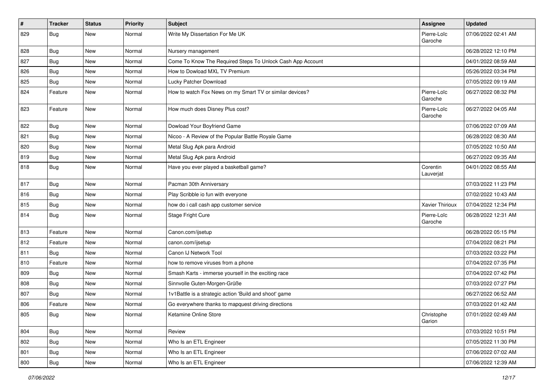| $\pmb{\#}$ | <b>Tracker</b> | <b>Status</b> | <b>Priority</b> | <b>Subject</b>                                             | Assignee               | <b>Updated</b>      |
|------------|----------------|---------------|-----------------|------------------------------------------------------------|------------------------|---------------------|
| 829        | <b>Bug</b>     | New           | Normal          | Write My Dissertation For Me UK                            | Pierre-Loïc<br>Garoche | 07/06/2022 02:41 AM |
| 828        | Bug            | New           | Normal          | Nursery management                                         |                        | 06/28/2022 12:10 PM |
| 827        | Bug            | New           | Normal          | Come To Know The Required Steps To Unlock Cash App Account |                        | 04/01/2022 08:59 AM |
| 826        | Bug            | <b>New</b>    | Normal          | How to Dowload MXL TV Premium                              |                        | 05/26/2022 03:34 PM |
| 825        | <b>Bug</b>     | New           | Normal          | Lucky Patcher Download                                     |                        | 07/05/2022 09:19 AM |
| 824        | Feature        | New           | Normal          | How to watch Fox News on my Smart TV or similar devices?   | Pierre-Loïc<br>Garoche | 06/27/2022 08:32 PM |
| 823        | Feature        | New           | Normal          | How much does Disney Plus cost?                            | Pierre-Loïc<br>Garoche | 06/27/2022 04:05 AM |
| 822        | <b>Bug</b>     | New           | Normal          | Dowload Your Boyfriend Game                                |                        | 07/06/2022 07:09 AM |
| 821        | Bug            | New           | Normal          | Nicoo - A Review of the Popular Battle Royale Game         |                        | 06/28/2022 08:30 AM |
| 820        | <b>Bug</b>     | New           | Normal          | Metal Slug Apk para Android                                |                        | 07/05/2022 10:50 AM |
| 819        | Bug            | New           | Normal          | Metal Slug Apk para Android                                |                        | 06/27/2022 09:35 AM |
| 818        | <b>Bug</b>     | New           | Normal          | Have you ever played a basketball game?                    | Corentin<br>Lauverjat  | 04/01/2022 08:55 AM |
| 817        | Bug            | <b>New</b>    | Normal          | Pacman 30th Anniversary                                    |                        | 07/03/2022 11:23 PM |
| 816        | Bug            | New           | Normal          | Play Scribble io fun with everyone                         |                        | 07/02/2022 10:43 AM |
| 815        | <b>Bug</b>     | New           | Normal          | how do i call cash app customer service                    | <b>Xavier Thirioux</b> | 07/04/2022 12:34 PM |
| 814        | Bug            | New           | Normal          | Stage Fright Cure                                          | Pierre-Loïc<br>Garoche | 06/28/2022 12:31 AM |
| 813        | Feature        | New           | Normal          | Canon.com/ijsetup                                          |                        | 06/28/2022 05:15 PM |
| 812        | Feature        | New           | Normal          | canon.com/ijsetup                                          |                        | 07/04/2022 08:21 PM |
| 811        | Bug            | New           | Normal          | Canon IJ Network Tool                                      |                        | 07/03/2022 03:22 PM |
| 810        | Feature        | New           | Normal          | how to remove viruses from a phone                         |                        | 07/04/2022 07:35 PM |
| 809        | Bug            | New           | Normal          | Smash Karts - immerse yourself in the exciting race        |                        | 07/04/2022 07:42 PM |
| 808        | <b>Bug</b>     | New           | Normal          | Sinnvolle Guten-Morgen-Grüße                               |                        | 07/03/2022 07:27 PM |
| 807        | Bug            | New           | Normal          | 1v1Battle is a strategic action 'Build and shoot' game     |                        | 06/27/2022 06:52 AM |
| 806        | Feature        | New           | Normal          | Go everywhere thanks to mapquest driving directions        |                        | 07/03/2022 01:42 AM |
| 805        | Bug            | New           | Normal          | Ketamine Online Store                                      | Christophe<br>Garion   | 07/01/2022 02:49 AM |
| 804        | Bug            | New           | Normal          | Review                                                     |                        | 07/03/2022 10:51 PM |
| 802        | <b>Bug</b>     | New           | Normal          | Who Is an ETL Engineer                                     |                        | 07/05/2022 11:30 PM |
| 801        | <b>Bug</b>     | New           | Normal          | Who Is an ETL Engineer                                     |                        | 07/06/2022 07:02 AM |
| 800        | <b>Bug</b>     | New           | Normal          | Who Is an ETL Engineer                                     |                        | 07/06/2022 12:39 AM |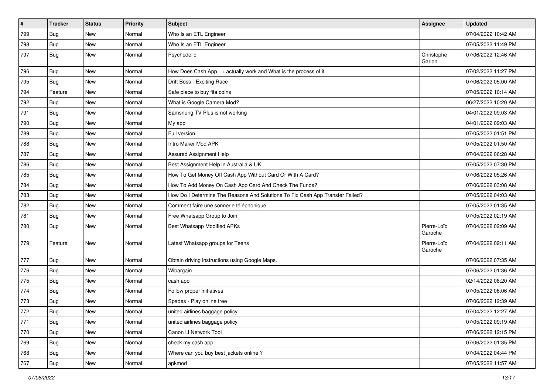| $\vert$ # | <b>Tracker</b> | <b>Status</b> | <b>Priority</b> | Subject                                                                       | <b>Assignee</b>        | <b>Updated</b>      |
|-----------|----------------|---------------|-----------------|-------------------------------------------------------------------------------|------------------------|---------------------|
| 799       | Bug            | New           | Normal          | Who Is an ETL Engineer                                                        |                        | 07/04/2022 10:42 AM |
| 798       | Bug            | New           | Normal          | Who Is an ETL Engineer                                                        |                        | 07/05/2022 11:49 PM |
| 797       | Bug            | New           | Normal          | Psychedelic                                                                   | Christophe<br>Garion   | 07/06/2022 12:46 AM |
| 796       | Bug            | New           | Normal          | How Does Cash App ++ actually work and What is the process of it              |                        | 07/02/2022 11:27 PM |
| 795       | <b>Bug</b>     | New           | Normal          | Drift Boss - Exciting Race                                                    |                        | 07/06/2022 05:00 AM |
| 794       | Feature        | New           | Normal          | Safe place to buy fifa coins                                                  |                        | 07/05/2022 10:14 AM |
| 792       | <b>Bug</b>     | New           | Normal          | What is Google Camera Mod?                                                    |                        | 06/27/2022 10:20 AM |
| 791       | <b>Bug</b>     | New           | Normal          | Samsnung TV Plus is not working                                               |                        | 04/01/2022 09:03 AM |
| 790       | Bug            | New           | Normal          | My app                                                                        |                        | 04/01/2022 09:03 AM |
| 789       | <b>Bug</b>     | New           | Normal          | Full version                                                                  |                        | 07/05/2022 01:51 PM |
| 788       | <b>Bug</b>     | New           | Normal          | Intro Maker Mod APK                                                           |                        | 07/05/2022 01:50 AM |
| 787       | Bug            | New           | Normal          | Assured Assignment Help                                                       |                        | 07/04/2022 06:28 AM |
| 786       | <b>Bug</b>     | New           | Normal          | Best Assignment Help in Australia & UK                                        |                        | 07/05/2022 07:30 PM |
| 785       | <b>Bug</b>     | New           | Normal          | How To Get Money Off Cash App Without Card Or With A Card?                    |                        | 07/06/2022 05:26 AM |
| 784       | Bug            | New           | Normal          | How To Add Money On Cash App Card And Check The Funds?                        |                        | 07/06/2022 03:08 AM |
| 783       | <b>Bug</b>     | New           | Normal          | How Do I Determine The Reasons And Solutions To Fix Cash App Transfer Failed? |                        | 07/05/2022 04:03 AM |
| 782       | Bug            | New           | Normal          | Comment faire une sonnerie téléphonique                                       |                        | 07/05/2022 01:35 AM |
| 781       | <b>Bug</b>     | New           | Normal          | Free Whatsapp Group to Join                                                   |                        | 07/05/2022 02:19 AM |
| 780       | <b>Bug</b>     | New           | Normal          | Best Whatsapp Modified APKs                                                   | Pierre-Loïc<br>Garoche | 07/04/2022 02:09 AM |
| 779       | Feature        | New           | Normal          | Latest Whatsapp groups for Teens                                              | Pierre-Loïc<br>Garoche | 07/04/2022 09:11 AM |
| 777       | Bug            | New           | Normal          | Obtain driving instructions using Google Maps.                                |                        | 07/06/2022 07:35 AM |
| 776       | <b>Bug</b>     | New           | Normal          | Wibargain                                                                     |                        | 07/06/2022 01:36 AM |
| 775       | Bug            | New           | Normal          | cash app                                                                      |                        | 02/14/2022 08:20 AM |
| 774       | Bug            | New           | Normal          | Follow proper initiatives                                                     |                        | 07/05/2022 06:06 AM |
| 773       | <b>Bug</b>     | New           | Normal          | Spades - Play online free                                                     |                        | 07/06/2022 12:39 AM |
| 772       | Bug            | New           | Normal          | united airlines baggage policy                                                |                        | 07/04/2022 12:27 AM |
| 771       | Bug            | New           | Normal          | united airlines baggage policy                                                |                        | 07/05/2022 09:19 AM |
| 770       | <b>Bug</b>     | New           | Normal          | Canon IJ Network Tool                                                         |                        | 07/06/2022 12:15 PM |
| 769       | Bug            | New           | Normal          | check my cash app                                                             |                        | 07/06/2022 01:35 PM |
| 768       | <b>Bug</b>     | New           | Normal          | Where can you buy best jackets online?                                        |                        | 07/04/2022 04:44 PM |
| 767       | <b>Bug</b>     | New           | Normal          | apkmod                                                                        |                        | 07/05/2022 11:57 AM |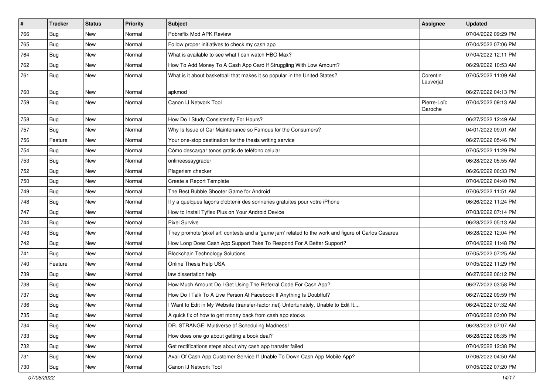| $\sharp$ | <b>Tracker</b> | <b>Status</b> | <b>Priority</b> | Subject                                                                                             | Assignee               | <b>Updated</b>      |
|----------|----------------|---------------|-----------------|-----------------------------------------------------------------------------------------------------|------------------------|---------------------|
| 766      | <b>Bug</b>     | New           | Normal          | Pobreflix Mod APK Review                                                                            |                        | 07/04/2022 09:29 PM |
| 765      | Bug            | <b>New</b>    | Normal          | Follow proper initiatives to check my cash app                                                      |                        | 07/04/2022 07:06 PM |
| 764      | <b>Bug</b>     | New           | Normal          | What is available to see what I can watch HBO Max?                                                  |                        | 07/04/2022 12:11 PM |
| 762      | Bug            | New           | Normal          | How To Add Money To A Cash App Card If Struggling With Low Amount?                                  |                        | 06/29/2022 10:53 AM |
| 761      | <b>Bug</b>     | New           | Normal          | What is it about basketball that makes it so popular in the United States?                          | Corentin<br>Lauverjat  | 07/05/2022 11:09 AM |
| 760      | Bug            | <b>New</b>    | Normal          | apkmod                                                                                              |                        | 06/27/2022 04:13 PM |
| 759      | Bug            | New           | Normal          | Canon IJ Network Tool                                                                               | Pierre-Loïc<br>Garoche | 07/04/2022 09:13 AM |
| 758      | Bug            | <b>New</b>    | Normal          | How Do I Study Consistently For Hours?                                                              |                        | 06/27/2022 12:49 AM |
| 757      | <b>Bug</b>     | New           | Normal          | Why Is Issue of Car Maintenance so Famous for the Consumers?                                        |                        | 04/01/2022 09:01 AM |
| 756      | Feature        | New           | Normal          | Your one-stop destination for the thesis writing service                                            |                        | 06/27/2022 05:46 PM |
| 754      | Bug            | New           | Normal          | Cómo descargar tonos gratis de teléfono celular                                                     |                        | 07/05/2022 11:29 PM |
| 753      | <b>Bug</b>     | New           | Normal          | onlineessaygrader                                                                                   |                        | 06/28/2022 05:55 AM |
| 752      | <b>Bug</b>     | New           | Normal          | Plagerism checker                                                                                   |                        | 06/26/2022 06:33 PM |
| 750      | Bug            | New           | Normal          | Create a Report Template                                                                            |                        | 07/04/2022 04:40 PM |
| 749      | <b>Bug</b>     | New           | Normal          | The Best Bubble Shooter Game for Android                                                            |                        | 07/06/2022 11:51 AM |
| 748      | Bug            | New           | Normal          | Il y a quelques façons d'obtenir des sonneries gratuites pour votre iPhone                          |                        | 06/26/2022 11:24 PM |
| 747      | <b>Bug</b>     | New           | Normal          | How to Install Tyflex Plus on Your Android Device                                                   |                        | 07/03/2022 07:14 PM |
| 744      | Bug            | New           | Normal          | <b>Pixel Survive</b>                                                                                |                        | 06/28/2022 05:13 AM |
| 743      | Bug            | New           | Normal          | They promote 'pixel art' contests and a 'game jam' related to the work and figure of Carlos Casares |                        | 06/28/2022 12:04 PM |
| 742      | <b>Bug</b>     | New           | Normal          | How Long Does Cash App Support Take To Respond For A Better Support?                                |                        | 07/04/2022 11:48 PM |
| 741      | Bug            | New           | Normal          | <b>Blockchain Technology Solutions</b>                                                              |                        | 07/05/2022 07:25 AM |
| 740      | Feature        | New           | Normal          | Online Thesis Help USA                                                                              |                        | 07/05/2022 11:29 PM |
| 739      | Bug            | New           | Normal          | law dissertation help                                                                               |                        | 06/27/2022 06:12 PM |
| 738      | Bug            | New           | Normal          | How Much Amount Do I Get Using The Referral Code For Cash App?                                      |                        | 06/27/2022 03:58 PM |
| 737      | <b>Bug</b>     | New           | Normal          | How Do I Talk To A Live Person At Facebook If Anything Is Doubtful?                                 |                        | 06/27/2022 09:59 PM |
| 736      | <b>Bug</b>     | New           | Normal          | I Want to Edit in My Website (transfer-factor.net) Unfortunately, Unable to Edit It                 |                        | 06/24/2022 07:32 AM |
| 735      | Bug            | New           | Normal          | A quick fix of how to get money back from cash app stocks                                           |                        | 07/06/2022 03:00 PM |
| 734      | Bug            | New           | Normal          | DR. STRANGE: Multiverse of Scheduling Madness!                                                      |                        | 06/28/2022 07:07 AM |
| 733      | Bug            | New           | Normal          | How does one go about getting a book deal?                                                          |                        | 06/28/2022 06:35 PM |
| 732      | <b>Bug</b>     | New           | Normal          | Get rectifications steps about why cash app transfer failed                                         |                        | 07/04/2022 12:38 PM |
| 731      | <b>Bug</b>     | New           | Normal          | Avail Of Cash App Customer Service If Unable To Down Cash App Mobile App?                           |                        | 07/06/2022 04:50 AM |
| 730      | Bug            | New           | Normal          | Canon IJ Network Tool                                                                               |                        | 07/05/2022 07:20 PM |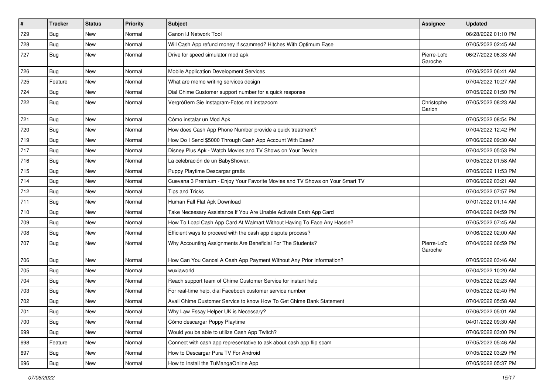| $\vert$ # | <b>Tracker</b> | <b>Status</b> | <b>Priority</b> | Subject                                                                      | <b>Assignee</b>        | <b>Updated</b>      |
|-----------|----------------|---------------|-----------------|------------------------------------------------------------------------------|------------------------|---------------------|
| 729       | Bug            | New           | Normal          | Canon IJ Network Tool                                                        |                        | 06/28/2022 01:10 PM |
| 728       | Bug            | New           | Normal          | Will Cash App refund money if scammed? Hitches With Optimum Ease             |                        | 07/05/2022 02:45 AM |
| 727       | <b>Bug</b>     | New           | Normal          | Drive for speed simulator mod apk                                            | Pierre-Loïc<br>Garoche | 06/27/2022 06:33 AM |
| 726       | Bug            | New           | Normal          | Mobile Application Development Services                                      |                        | 07/06/2022 06:41 AM |
| 725       | Feature        | New           | Normal          | What are memo writing services design                                        |                        | 07/04/2022 10:27 AM |
| 724       | <b>Bug</b>     | New           | Normal          | Dial Chime Customer support number for a quick response                      |                        | 07/05/2022 01:50 PM |
| 722       | Bug            | New           | Normal          | Vergrößern Sie Instagram-Fotos mit instazoom                                 | Christophe<br>Garion   | 07/05/2022 08:23 AM |
| 721       | <b>Bug</b>     | New           | Normal          | Cómo instalar un Mod Apk                                                     |                        | 07/05/2022 08:54 PM |
| 720       | Bug            | New           | Normal          | How does Cash App Phone Number provide a quick treatment?                    |                        | 07/04/2022 12:42 PM |
| 719       | <b>Bug</b>     | New           | Normal          | How Do I Send \$5000 Through Cash App Account With Ease?                     |                        | 07/06/2022 09:30 AM |
| 717       | Bug            | New           | Normal          | Disney Plus Apk - Watch Movies and TV Shows on Your Device                   |                        | 07/04/2022 05:53 PM |
| 716       | <b>Bug</b>     | New           | Normal          | La celebración de un BabyShower.                                             |                        | 07/05/2022 01:58 AM |
| 715       | <b>Bug</b>     | New           | Normal          | Puppy Playtime Descargar gratis                                              |                        | 07/05/2022 11:53 PM |
| 714       | <b>Bug</b>     | New           | Normal          | Cuevana 3 Premium - Enjoy Your Favorite Movies and TV Shows on Your Smart TV |                        | 07/06/2022 03:21 AM |
| 712       | <b>Bug</b>     | New           | Normal          | <b>Tips and Tricks</b>                                                       |                        | 07/04/2022 07:57 PM |
| 711       | Bug            | New           | Normal          | Human Fall Flat Apk Download                                                 |                        | 07/01/2022 01:14 AM |
| 710       | <b>Bug</b>     | New           | Normal          | Take Necessary Assistance If You Are Unable Activate Cash App Card           |                        | 07/04/2022 04:59 PM |
| 709       | <b>Bug</b>     | New           | Normal          | How To Load Cash App Card At Walmart Without Having To Face Any Hassle?      |                        | 07/05/2022 07:45 AM |
| 708       | Bug            | New           | Normal          | Efficient ways to proceed with the cash app dispute process?                 |                        | 07/06/2022 02:00 AM |
| 707       | <b>Bug</b>     | New           | Normal          | Why Accounting Assignments Are Beneficial For The Students?                  | Pierre-Loïc<br>Garoche | 07/04/2022 06:59 PM |
| 706       | <b>Bug</b>     | New           | Normal          | How Can You Cancel A Cash App Payment Without Any Prior Information?         |                        | 07/05/2022 03:46 AM |
| 705       | <b>Bug</b>     | New           | Normal          | wuxiaworld                                                                   |                        | 07/04/2022 10:20 AM |
| 704       | <b>Bug</b>     | New           | Normal          | Reach support team of Chime Customer Service for instant help                |                        | 07/05/2022 02:23 AM |
| 703       | Bug            | New           | Normal          | For real-time help, dial Facebook customer service number                    |                        | 07/05/2022 02:40 PM |
| 702       | <b>Bug</b>     | New           | Normal          | Avail Chime Customer Service to know How To Get Chime Bank Statement         |                        | 07/04/2022 05:58 AM |
| 701       | Bug            | New           | Normal          | Why Law Essay Helper UK is Necessary?                                        |                        | 07/06/2022 05:01 AM |
| 700       | <b>Bug</b>     | New           | Normal          | Cómo descargar Poppy Playtime                                                |                        | 04/01/2022 09:30 AM |
| 699       | Bug            | New           | Normal          | Would you be able to utilize Cash App Twitch?                                |                        | 07/06/2022 03:00 PM |
| 698       | Feature        | New           | Normal          | Connect with cash app representative to ask about cash app flip scam         |                        | 07/05/2022 05:46 AM |
| 697       | Bug            | New           | Normal          | How to Descargar Pura TV For Android                                         |                        | 07/05/2022 03:29 PM |
| 696       | <b>Bug</b>     | New           | Normal          | How to Install the TuMangaOnline App                                         |                        | 07/05/2022 05:37 PM |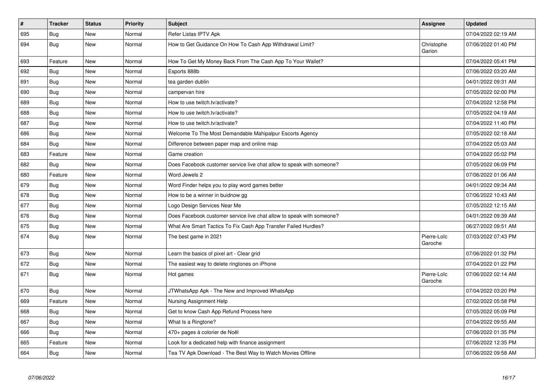| $\vert$ # | <b>Tracker</b> | <b>Status</b> | Priority | <b>Subject</b>                                                        | Assignee               | <b>Updated</b>      |
|-----------|----------------|---------------|----------|-----------------------------------------------------------------------|------------------------|---------------------|
| 695       | Bug            | New           | Normal   | Refer Listas IPTV Apk                                                 |                        | 07/04/2022 02:19 AM |
| 694       | <b>Bug</b>     | <b>New</b>    | Normal   | How to Get Guidance On How To Cash App Withdrawal Limit?              | Christophe<br>Garion   | 07/06/2022 01:40 PM |
| 693       | Feature        | <b>New</b>    | Normal   | How To Get My Money Back From The Cash App To Your Wallet?            |                        | 07/04/2022 05:41 PM |
| 692       | Bug            | New           | Normal   | Esports 888b                                                          |                        | 07/06/2022 03:20 AM |
| 691       | <b>Bug</b>     | New           | Normal   | tea garden dublin                                                     |                        | 04/01/2022 09:31 AM |
| 690       | <b>Bug</b>     | New           | Normal   | campervan hire                                                        |                        | 07/05/2022 02:00 PM |
| 689       | <b>Bug</b>     | New           | Normal   | How to use twitch.tv/activate?                                        |                        | 07/04/2022 12:58 PM |
| 688       | <b>Bug</b>     | <b>New</b>    | Normal   | How to use twitch.tv/activate?                                        |                        | 07/05/2022 04:19 AM |
| 687       | Bug            | New           | Normal   | How to use twitch.tv/activate?                                        |                        | 07/04/2022 11:40 PM |
| 686       | Bug            | <b>New</b>    | Normal   | Welcome To The Most Demandable Mahipalpur Escorts Agency              |                        | 07/05/2022 02:18 AM |
| 684       | <b>Bug</b>     | New           | Normal   | Difference between paper map and online map                           |                        | 07/04/2022 05:03 AM |
| 683       | Feature        | New           | Normal   | Game creation                                                         |                        | 07/04/2022 05:02 PM |
| 682       | Bug            | New           | Normal   | Does Facebook customer service live chat allow to speak with someone? |                        | 07/05/2022 06:09 PM |
| 680       | Feature        | New           | Normal   | Word Jewels 2                                                         |                        | 07/06/2022 01:06 AM |
| 679       | <b>Bug</b>     | New           | Normal   | Word Finder helps you to play word games better                       |                        | 04/01/2022 09:34 AM |
| 678       | <b>Bug</b>     | New           | Normal   | How to be a winner in buidnow gg                                      |                        | 07/06/2022 10:43 AM |
| 677       | Bug            | New           | Normal   | Logo Design Services Near Me                                          |                        | 07/05/2022 12:15 AM |
| 676       | <b>Bug</b>     | New           | Normal   | Does Facebook customer service live chat allow to speak with someone? |                        | 04/01/2022 09:39 AM |
| 675       | Bug            | New           | Normal   | What Are Smart Tactics To Fix Cash App Transfer Failed Hurdles?       |                        | 06/27/2022 09:51 AM |
| 674       | Bug            | <b>New</b>    | Normal   | The best game in 2021                                                 | Pierre-Loïc<br>Garoche | 07/03/2022 07:43 PM |
| 673       | Bug            | New           | Normal   | Learn the basics of pixel art - Clear grid                            |                        | 07/06/2022 01:32 PM |
| 672       | Bug            | New           | Normal   | The easiest way to delete ringtones on iPhone                         |                        | 07/04/2022 01:22 PM |
| 671       | <b>Bug</b>     | New           | Normal   | Hot games                                                             | Pierre-Loïc<br>Garoche | 07/06/2022 02:14 AM |
| 670       | <b>Bug</b>     | New           | Normal   | JTWhatsApp Apk - The New and Improved WhatsApp                        |                        | 07/04/2022 03:20 PM |
| 669       | Feature        | New           | Normal   | Nursing Assignment Help                                               |                        | 07/02/2022 05:58 PM |
| 668       | Bug            | New           | Normal   | Get to know Cash App Refund Process here                              |                        | 07/05/2022 05:09 PM |
| 667       | <b>Bug</b>     | <b>New</b>    | Normal   | What Is a Ringtone?                                                   |                        | 07/04/2022 09:55 AM |
| 666       | <b>Bug</b>     | New           | Normal   | 470+ pages à colorier de Noël                                         |                        | 07/06/2022 01:35 PM |
| 665       | Feature        | New           | Normal   | Look for a dedicated help with finance assignment                     |                        | 07/06/2022 12:35 PM |
| 664       | <b>Bug</b>     | <b>New</b>    | Normal   | Tea TV Apk Download - The Best Way to Watch Movies Offline            |                        | 07/06/2022 09:58 AM |